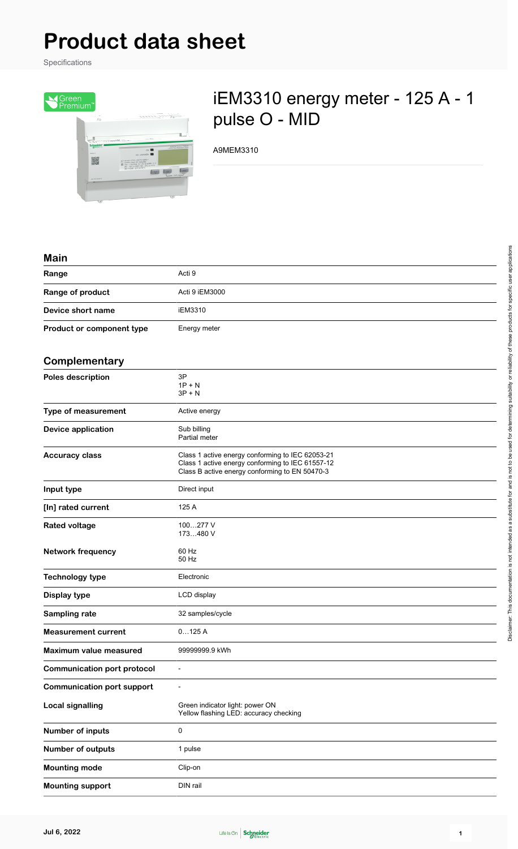# **Product data sheet**

Specifications



# iEM3310 energy meter - 125 A - 1 pulse O - MID

A9MEM3310

#### **Main**

| Range<br>Acti 9                           |  |
|-------------------------------------------|--|
| Range of product<br>Acti 9 iEM3000        |  |
| Device short name<br>iEM3310              |  |
| Product or component type<br>Energy meter |  |

### **Complementary**

| oompicmontary                      |                                                                                                                                                        |
|------------------------------------|--------------------------------------------------------------------------------------------------------------------------------------------------------|
| <b>Poles description</b>           | 3P<br>$1P + N$<br>$3P + N$                                                                                                                             |
| Type of measurement                | Active energy                                                                                                                                          |
| <b>Device application</b>          | Sub billing<br>Partial meter                                                                                                                           |
| <b>Accuracy class</b>              | Class 1 active energy conforming to IEC 62053-21<br>Class 1 active energy conforming to IEC 61557-12<br>Class B active energy conforming to EN 50470-3 |
| Input type                         | Direct input                                                                                                                                           |
| [In] rated current                 | 125 A                                                                                                                                                  |
| <b>Rated voltage</b>               | 100277 V<br>173480 V                                                                                                                                   |
| <b>Network frequency</b>           | 60 Hz<br>50 Hz                                                                                                                                         |
| <b>Technology type</b>             | Electronic                                                                                                                                             |
| <b>Display type</b>                | LCD display                                                                                                                                            |
| Sampling rate                      | 32 samples/cycle                                                                                                                                       |
| <b>Measurement current</b>         | 0125A                                                                                                                                                  |
| <b>Maximum value measured</b>      | 99999999.9 kWh                                                                                                                                         |
| <b>Communication port protocol</b> | $\overline{a}$                                                                                                                                         |
| <b>Communication port support</b>  |                                                                                                                                                        |
| <b>Local signalling</b>            | Green indicator light: power ON<br>Yellow flashing LED: accuracy checking                                                                              |
| Number of inputs                   | 0                                                                                                                                                      |
| Number of outputs                  | 1 pulse                                                                                                                                                |
| <b>Mounting mode</b>               | Clip-on                                                                                                                                                |
| <b>Mounting support</b>            | DIN rail                                                                                                                                               |

 $\overline{\phantom{0}}$ 

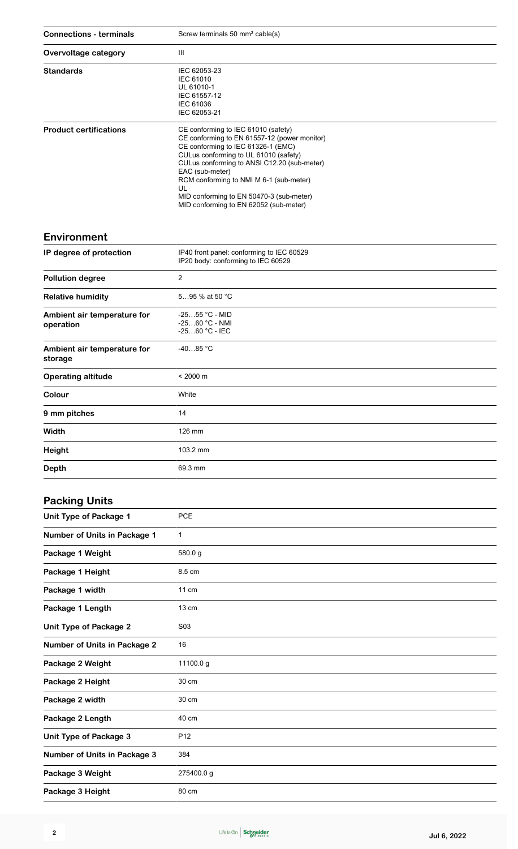| <b>Connections - terminals</b>           | Screw terminals 50 mm <sup>2</sup> cable(s)                                                                                                                                                                                                                                                                                                                                 |
|------------------------------------------|-----------------------------------------------------------------------------------------------------------------------------------------------------------------------------------------------------------------------------------------------------------------------------------------------------------------------------------------------------------------------------|
| Overvoltage category                     | Ш                                                                                                                                                                                                                                                                                                                                                                           |
| <b>Standards</b>                         | IEC 62053-23<br><b>IEC 61010</b><br>UL 61010-1<br>IEC 61557-12<br>IEC 61036<br>IEC 62053-21                                                                                                                                                                                                                                                                                 |
| <b>Product certifications</b>            | CE conforming to IEC 61010 (safety)<br>CE conforming to EN 61557-12 (power monitor)<br>CE conforming to IEC 61326-1 (EMC)<br>CULus conforming to UL 61010 (safety)<br>CULus conforming to ANSI C12.20 (sub-meter)<br>EAC (sub-meter)<br>RCM conforming to NMI M 6-1 (sub-meter)<br>UL<br>MID conforming to EN 50470-3 (sub-meter)<br>MID conforming to EN 62052 (sub-meter) |
| <b>Environment</b>                       |                                                                                                                                                                                                                                                                                                                                                                             |
| IP degree of protection                  | IP40 front panel: conforming to IEC 60529<br>IP20 body: conforming to IEC 60529                                                                                                                                                                                                                                                                                             |
| <b>Pollution degree</b>                  | $\overline{2}$                                                                                                                                                                                                                                                                                                                                                              |
| <b>Relative humidity</b>                 | 595 % at 50 °C                                                                                                                                                                                                                                                                                                                                                              |
| Ambient air temperature for<br>operation | -2555 °C - MID<br>$-2560 °C - NMI$<br>$-2560 °C - IEC$                                                                                                                                                                                                                                                                                                                      |
| Ambient air temperature for<br>storage   | $-4085 °C$                                                                                                                                                                                                                                                                                                                                                                  |
| <b>Operating altitude</b>                | $< 2000 \text{ m}$                                                                                                                                                                                                                                                                                                                                                          |
| Colour                                   | White                                                                                                                                                                                                                                                                                                                                                                       |
| 9 mm pitches                             | 14                                                                                                                                                                                                                                                                                                                                                                          |
| Width                                    | 126 mm                                                                                                                                                                                                                                                                                                                                                                      |
| <b>Height</b>                            | 103.2 mm                                                                                                                                                                                                                                                                                                                                                                    |
| <b>Depth</b>                             | 69.3 mm                                                                                                                                                                                                                                                                                                                                                                     |
| <b>Packing Units</b>                     |                                                                                                                                                                                                                                                                                                                                                                             |
| <b>Unit Type of Package 1</b>            | PCE                                                                                                                                                                                                                                                                                                                                                                         |
| <b>Number of Units in Package 1</b>      | 1                                                                                                                                                                                                                                                                                                                                                                           |
| Package 1 Weight                         | 580.0g                                                                                                                                                                                                                                                                                                                                                                      |

| <b>NUMBER OF OTHER IN FACKAGE 1</b> |                 |
|-------------------------------------|-----------------|
| Package 1 Weight                    | 580.0g          |
| Package 1 Height                    | 8.5 cm          |
| Package 1 width                     | $11 \text{ cm}$ |
| Package 1 Length                    | 13 cm           |
| <b>Unit Type of Package 2</b>       | S03             |
| <b>Number of Units in Package 2</b> | 16              |
| Package 2 Weight                    | 11100.0 g       |
| Package 2 Height                    | 30 cm           |
| Package 2 width                     | 30 cm           |
| Package 2 Length                    | 40 cm           |
| Unit Type of Package 3              | P <sub>12</sub> |
| Number of Units in Package 3        | 384             |
| Package 3 Weight                    | 275400.0g       |
| Package 3 Height                    | 80 cm           |
|                                     |                 |